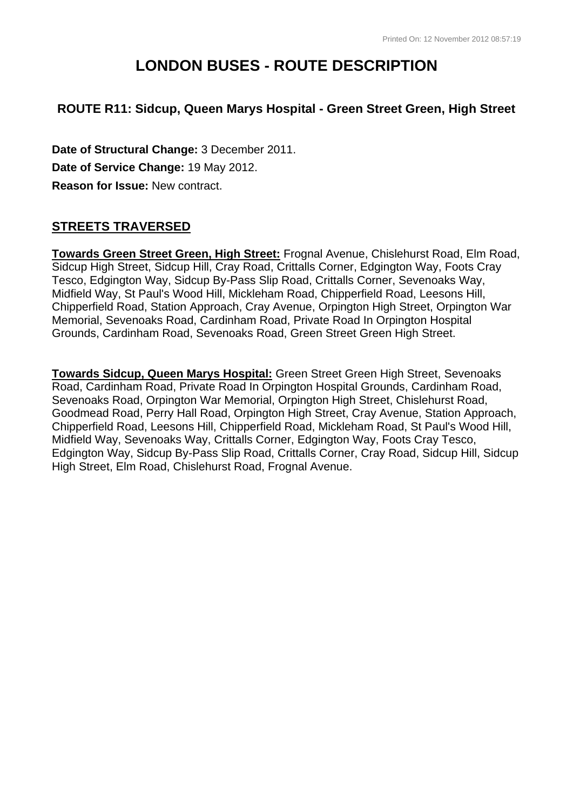# **LONDON BUSES - ROUTE DESCRIPTION**

## **ROUTE R11: Sidcup, Queen Marys Hospital - Green Street Green, High Street**

**Date of Structural Change:** 3 December 2011. **Date of Service Change:** 19 May 2012. **Reason for Issue:** New contract.

# **STREETS TRAVERSED**

**Towards Green Street Green, High Street:** Frognal Avenue, Chislehurst Road, Elm Road, Sidcup High Street, Sidcup Hill, Cray Road, Crittalls Corner, Edgington Way, Foots Cray Tesco, Edgington Way, Sidcup By-Pass Slip Road, Crittalls Corner, Sevenoaks Way, Midfield Way, St Paul's Wood Hill, Mickleham Road, Chipperfield Road, Leesons Hill, Chipperfield Road, Station Approach, Cray Avenue, Orpington High Street, Orpington War Memorial, Sevenoaks Road, Cardinham Road, Private Road In Orpington Hospital Grounds, Cardinham Road, Sevenoaks Road, Green Street Green High Street.

**Towards Sidcup, Queen Marys Hospital:** Green Street Green High Street, Sevenoaks Road, Cardinham Road, Private Road In Orpington Hospital Grounds, Cardinham Road, Sevenoaks Road, Orpington War Memorial, Orpington High Street, Chislehurst Road, Goodmead Road, Perry Hall Road, Orpington High Street, Cray Avenue, Station Approach, Chipperfield Road, Leesons Hill, Chipperfield Road, Mickleham Road, St Paul's Wood Hill, Midfield Way, Sevenoaks Way, Crittalls Corner, Edgington Way, Foots Cray Tesco, Edgington Way, Sidcup By-Pass Slip Road, Crittalls Corner, Cray Road, Sidcup Hill, Sidcup High Street, Elm Road, Chislehurst Road, Frognal Avenue.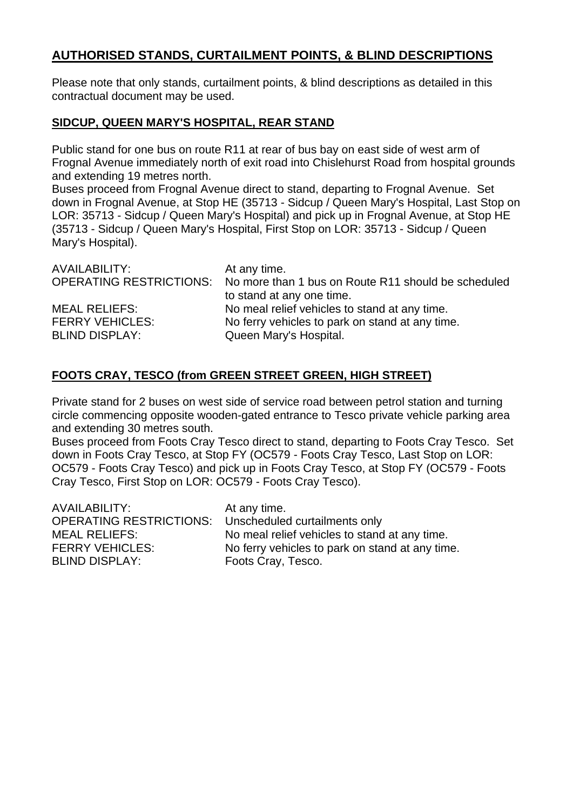# **AUTHORISED STANDS, CURTAILMENT POINTS, & BLIND DESCRIPTIONS**

Please note that only stands, curtailment points, & blind descriptions as detailed in this contractual document may be used.

#### **SIDCUP, QUEEN MARY'S HOSPITAL, REAR STAND**

Public stand for one bus on route R11 at rear of bus bay on east side of west arm of Frognal Avenue immediately north of exit road into Chislehurst Road from hospital grounds and extending 19 metres north.

Buses proceed from Frognal Avenue direct to stand, departing to Frognal Avenue. Set down in Frognal Avenue, at Stop HE (35713 - Sidcup / Queen Mary's Hospital, Last Stop on LOR: 35713 - Sidcup / Queen Mary's Hospital) and pick up in Frognal Avenue, at Stop HE (35713 - Sidcup / Queen Mary's Hospital, First Stop on LOR: 35713 - Sidcup / Queen Mary's Hospital).

| <b>AVAILABILITY:</b>   | At any time.                                                                |
|------------------------|-----------------------------------------------------------------------------|
|                        | OPERATING RESTRICTIONS: No more than 1 bus on Route R11 should be scheduled |
|                        | to stand at any one time.                                                   |
| <b>MEAL RELIEFS:</b>   | No meal relief vehicles to stand at any time.                               |
| <b>FERRY VEHICLES:</b> | No ferry vehicles to park on stand at any time.                             |
| <b>BLIND DISPLAY:</b>  | Queen Mary's Hospital.                                                      |

## **FOOTS CRAY, TESCO (from GREEN STREET GREEN, HIGH STREET)**

Private stand for 2 buses on west side of service road between petrol station and turning circle commencing opposite wooden-gated entrance to Tesco private vehicle parking area and extending 30 metres south.

Buses proceed from Foots Cray Tesco direct to stand, departing to Foots Cray Tesco. Set down in Foots Cray Tesco, at Stop FY (OC579 - Foots Cray Tesco, Last Stop on LOR: OC579 - Foots Cray Tesco) and pick up in Foots Cray Tesco, at Stop FY (OC579 - Foots Cray Tesco, First Stop on LOR: OC579 - Foots Cray Tesco).

| AVAILABILITY:                  | At any time.                                    |
|--------------------------------|-------------------------------------------------|
| <b>OPERATING RESTRICTIONS:</b> | Unscheduled curtailments only                   |
| <b>MEAL RELIEFS:</b>           | No meal relief vehicles to stand at any time.   |
| <b>FERRY VEHICLES:</b>         | No ferry vehicles to park on stand at any time. |
| <b>BLIND DISPLAY:</b>          | Foots Cray, Tesco.                              |